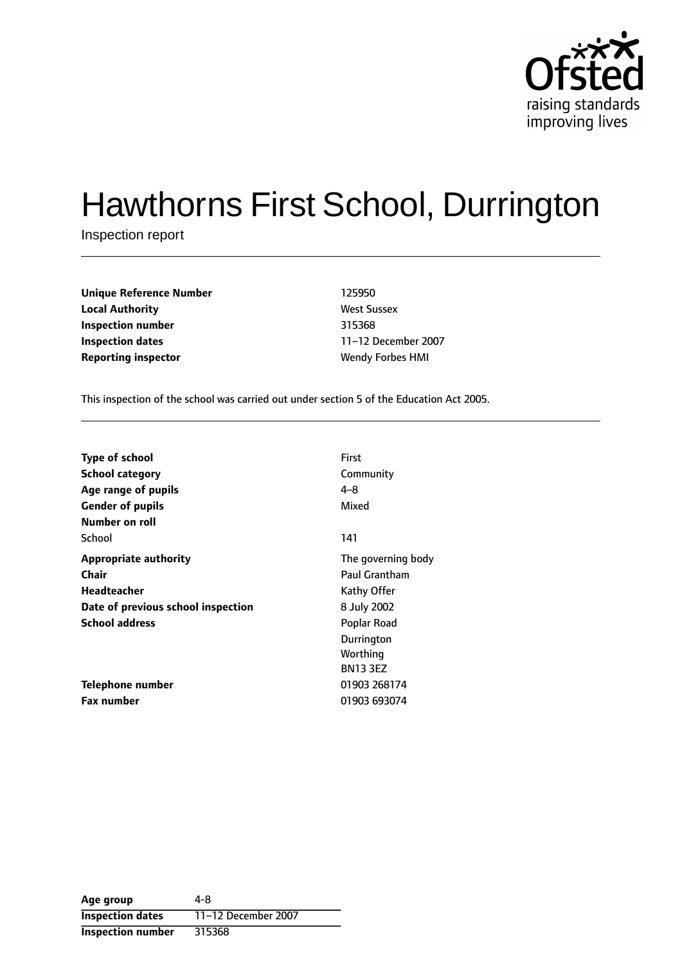

# Hawthorns First School, Durrington

Inspection report

| <b>Unique Reference Number</b> | 125950                  |
|--------------------------------|-------------------------|
| <b>Local Authority</b>         | <b>West Sussex</b>      |
| Inspection number              | 315368                  |
| Inspection dates               | 11-12 December 20       |
| <b>Reporting inspector</b>     | <b>Wendy Forbes HMI</b> |

**West Sussex Inspection dates** 1112 December 2007

This inspection of the school was carried out under section 5 of the Education Act 2005.

| <b>Type of school</b>              | <b>First</b>       |
|------------------------------------|--------------------|
| <b>School category</b>             | Community          |
| Age range of pupils                | $4 - 8$            |
| <b>Gender of pupils</b>            | Mixed              |
| Number on roll                     |                    |
| School                             | 141                |
| <b>Appropriate authority</b>       | The governing body |
| <b>Chair</b>                       | Paul Grantham      |
| Headteacher                        | Kathy Offer        |
| Date of previous school inspection | 8 July 2002        |
| <b>School address</b>              | Poplar Road        |
|                                    | Durrington         |
|                                    | Worthing           |
|                                    | <b>BN13 3EZ</b>    |
| Telephone number                   | 01903 268174       |
| <b>Fax number</b>                  | 01903 693074       |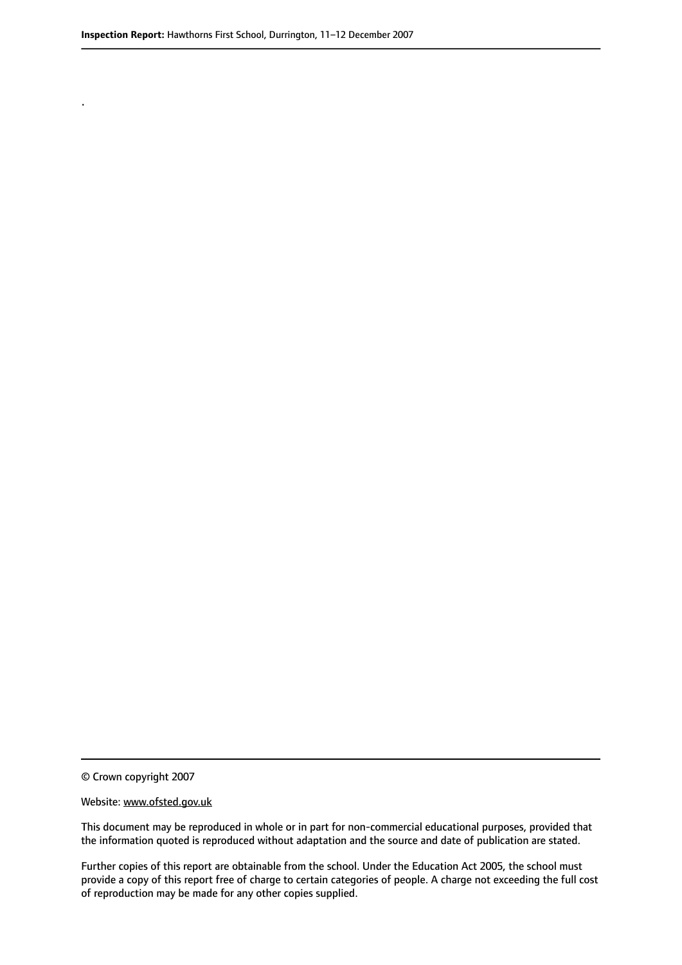.

© Crown copyright 2007

#### Website: www.ofsted.gov.uk

This document may be reproduced in whole or in part for non-commercial educational purposes, provided that the information quoted is reproduced without adaptation and the source and date of publication are stated.

Further copies of this report are obtainable from the school. Under the Education Act 2005, the school must provide a copy of this report free of charge to certain categories of people. A charge not exceeding the full cost of reproduction may be made for any other copies supplied.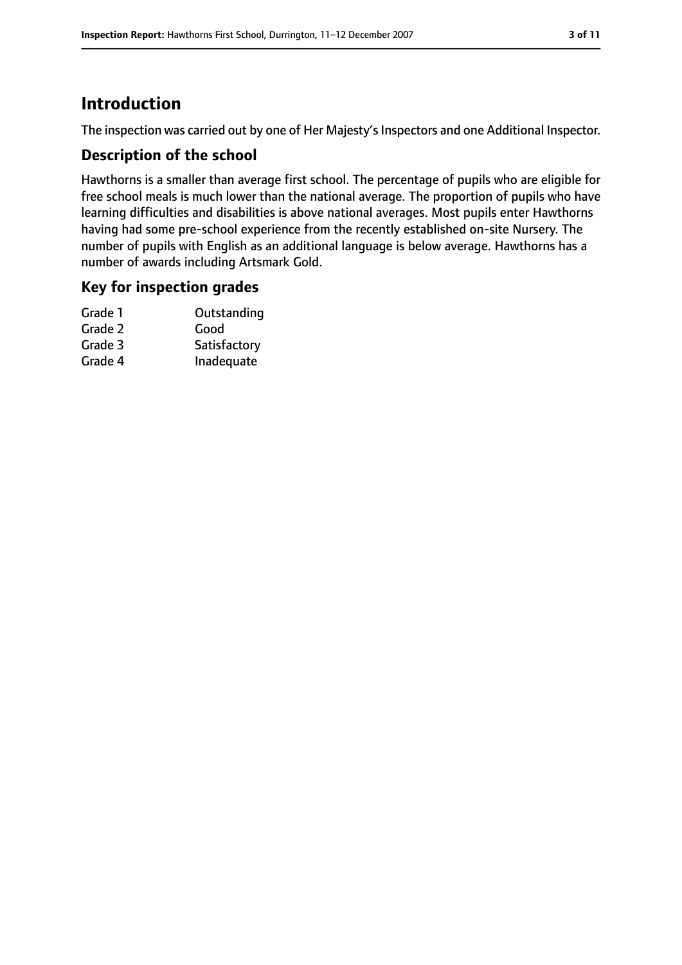# **Introduction**

The inspection was carried out by one of Her Majesty's Inspectors and one Additional Inspector.

## **Description of the school**

Hawthorns is a smaller than average first school. The percentage of pupils who are eligible for free school meals is much lower than the national average. The proportion of pupils who have learning difficulties and disabilities is above national averages. Most pupils enter Hawthorns having had some pre-school experience from the recently established on-site Nursery. The number of pupils with English as an additional language is below average. Hawthorns has a number of awards including Artsmark Gold.

## **Key for inspection grades**

| Grade 1 | Outstanding  |
|---------|--------------|
| Grade 2 | Good         |
| Grade 3 | Satisfactory |
| Grade 4 | Inadequate   |
|         |              |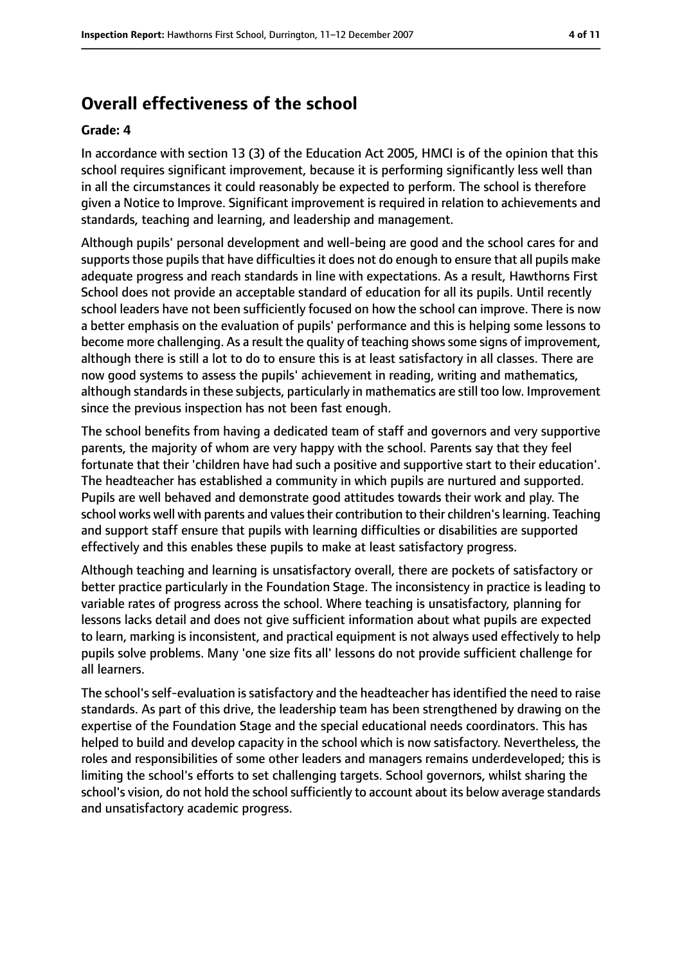# **Overall effectiveness of the school**

#### **Grade: 4**

In accordance with section 13 (3) of the Education Act 2005, HMCI is of the opinion that this school requires significant improvement, because it is performing significantly less well than in all the circumstances it could reasonably be expected to perform. The school is therefore given a Notice to Improve. Significant improvement is required in relation to achievements and standards, teaching and learning, and leadership and management.

Although pupils' personal development and well-being are good and the school cares for and supports those pupils that have difficulties it does not do enough to ensure that all pupils make adequate progress and reach standards in line with expectations. As a result, Hawthorns First School does not provide an acceptable standard of education for all its pupils. Until recently school leaders have not been sufficiently focused on how the school can improve. There is now a better emphasis on the evaluation of pupils' performance and this is helping some lessons to become more challenging. As a result the quality of teaching shows some signs of improvement, although there is still a lot to do to ensure this is at least satisfactory in all classes. There are now good systems to assess the pupils' achievement in reading, writing and mathematics, although standards in these subjects, particularly in mathematics are still too low. Improvement since the previous inspection has not been fast enough.

The school benefits from having a dedicated team of staff and governors and very supportive parents, the majority of whom are very happy with the school. Parents say that they feel fortunate that their 'children have had such a positive and supportive start to their education'. The headteacher has established a community in which pupils are nurtured and supported. Pupils are well behaved and demonstrate good attitudes towards their work and play. The school works well with parents and values their contribution to their children's learning. Teaching and support staff ensure that pupils with learning difficulties or disabilities are supported effectively and this enables these pupils to make at least satisfactory progress.

Although teaching and learning is unsatisfactory overall, there are pockets of satisfactory or better practice particularly in the Foundation Stage. The inconsistency in practice is leading to variable rates of progress across the school. Where teaching is unsatisfactory, planning for lessons lacks detail and does not give sufficient information about what pupils are expected to learn, marking is inconsistent, and practical equipment is not always used effectively to help pupils solve problems. Many 'one size fits all' lessons do not provide sufficient challenge for all learners.

The school's self-evaluation is satisfactory and the headteacher has identified the need to raise standards. As part of this drive, the leadership team has been strengthened by drawing on the expertise of the Foundation Stage and the special educational needs coordinators. This has helped to build and develop capacity in the school which is now satisfactory. Nevertheless, the roles and responsibilities of some other leaders and managers remains underdeveloped; this is limiting the school's efforts to set challenging targets. School governors, whilst sharing the school's vision, do not hold the school sufficiently to account about its below average standards and unsatisfactory academic progress.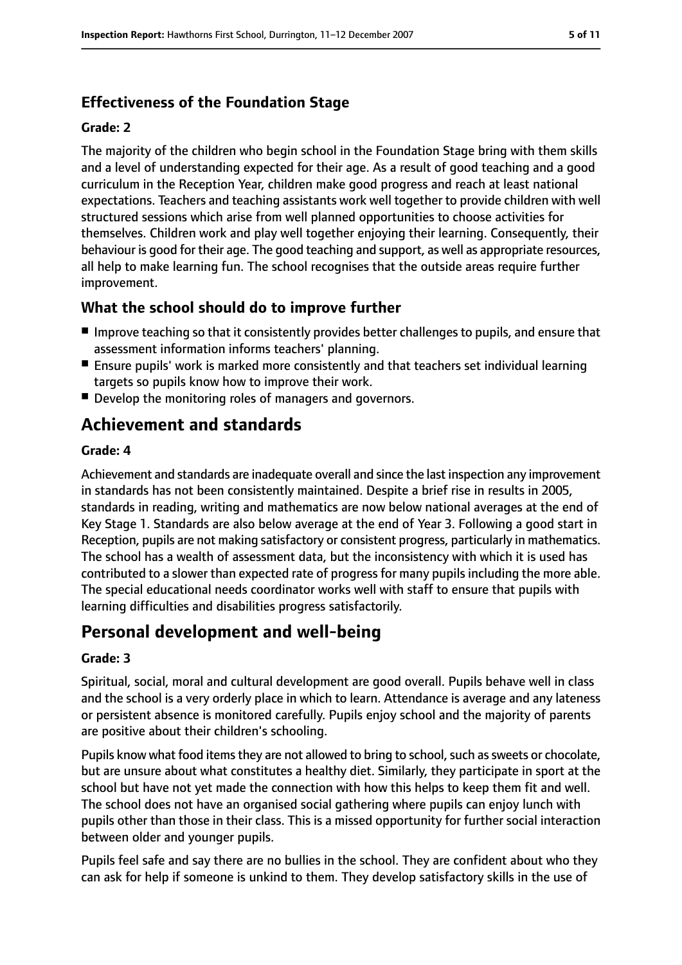## **Effectiveness of the Foundation Stage**

#### **Grade: 2**

The majority of the children who begin school in the Foundation Stage bring with them skills and a level of understanding expected for their age. As a result of good teaching and a good curriculum in the Reception Year, children make good progress and reach at least national expectations. Teachers and teaching assistants work well together to provide children with well structured sessions which arise from well planned opportunities to choose activities for themselves. Children work and play well together enjoying their learning. Consequently, their behaviour is good for their age. The good teaching and support, as well as appropriate resources, all help to make learning fun. The school recognises that the outside areas require further improvement.

## **What the school should do to improve further**

- Improve teaching so that it consistently provides better challenges to pupils, and ensure that assessment information informs teachers' planning.
- Ensure pupils' work is marked more consistently and that teachers set individual learning targets so pupils know how to improve their work.
- Develop the monitoring roles of managers and governors.

# **Achievement and standards**

#### **Grade: 4**

Achievement and standards are inadequate overall and since the last inspection any improvement in standards has not been consistently maintained. Despite a brief rise in results in 2005, standards in reading, writing and mathematics are now below national averages at the end of Key Stage 1. Standards are also below average at the end of Year 3. Following a good start in Reception, pupils are not making satisfactory or consistent progress, particularly in mathematics. The school has a wealth of assessment data, but the inconsistency with which it is used has contributed to a slower than expected rate of progress for many pupils including the more able. The special educational needs coordinator works well with staff to ensure that pupils with learning difficulties and disabilities progress satisfactorily.

# **Personal development and well-being**

#### **Grade: 3**

Spiritual, social, moral and cultural development are good overall. Pupils behave well in class and the school is a very orderly place in which to learn. Attendance is average and any lateness or persistent absence is monitored carefully. Pupils enjoy school and the majority of parents are positive about their children's schooling.

Pupils know what food items they are not allowed to bring to school, such as sweets or chocolate, but are unsure about what constitutes a healthy diet. Similarly, they participate in sport at the school but have not yet made the connection with how this helps to keep them fit and well. The school does not have an organised social gathering where pupils can enjoy lunch with pupils other than those in their class. This is a missed opportunity for further social interaction between older and younger pupils.

Pupils feel safe and say there are no bullies in the school. They are confident about who they can ask for help if someone is unkind to them. They develop satisfactory skills in the use of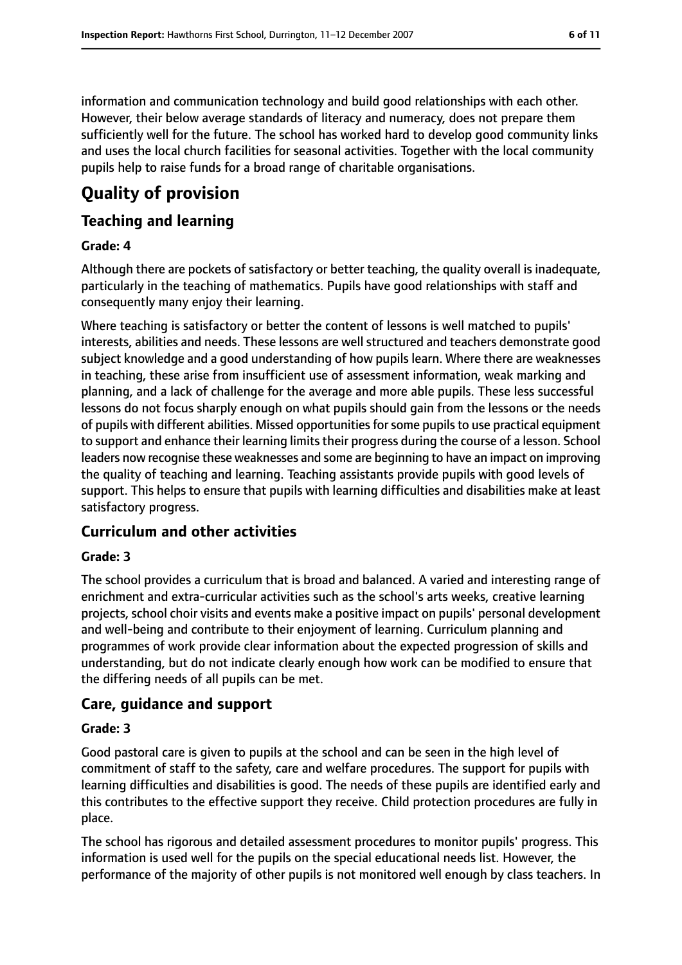information and communication technology and build good relationships with each other. However, their below average standards of literacy and numeracy, does not prepare them

sufficiently well for the future. The school has worked hard to develop good community links and uses the local church facilities for seasonal activities. Together with the local community pupils help to raise funds for a broad range of charitable organisations.

# **Quality of provision**

## **Teaching and learning**

#### **Grade: 4**

Although there are pockets of satisfactory or better teaching, the quality overall is inadequate, particularly in the teaching of mathematics. Pupils have good relationships with staff and consequently many enjoy their learning.

Where teaching is satisfactory or better the content of lessons is well matched to pupils' interests, abilities and needs. These lessons are well structured and teachers demonstrate good subject knowledge and a good understanding of how pupils learn. Where there are weaknesses in teaching, these arise from insufficient use of assessment information, weak marking and planning, and a lack of challenge for the average and more able pupils. These less successful lessons do not focus sharply enough on what pupils should gain from the lessons or the needs of pupils with different abilities. Missed opportunitiesforsome pupilsto use practical equipment to support and enhance their learning limits their progress during the course of a lesson. School leaders now recognise these weaknesses and some are beginning to have an impact on improving the quality of teaching and learning. Teaching assistants provide pupils with good levels of support. This helps to ensure that pupils with learning difficulties and disabilities make at least satisfactory progress.

## **Curriculum and other activities**

## **Grade: 3**

The school provides a curriculum that is broad and balanced. A varied and interesting range of enrichment and extra-curricular activities such as the school's arts weeks, creative learning projects, school choir visits and events make a positive impact on pupils' personal development and well-being and contribute to their enjoyment of learning. Curriculum planning and programmes of work provide clear information about the expected progression of skills and understanding, but do not indicate clearly enough how work can be modified to ensure that the differing needs of all pupils can be met.

## **Care, guidance and support**

#### **Grade: 3**

Good pastoral care is given to pupils at the school and can be seen in the high level of commitment of staff to the safety, care and welfare procedures. The support for pupils with learning difficulties and disabilities is good. The needs of these pupils are identified early and this contributes to the effective support they receive. Child protection procedures are fully in place.

The school has rigorous and detailed assessment procedures to monitor pupils' progress. This information is used well for the pupils on the special educational needs list. However, the performance of the majority of other pupils is not monitored well enough by class teachers. In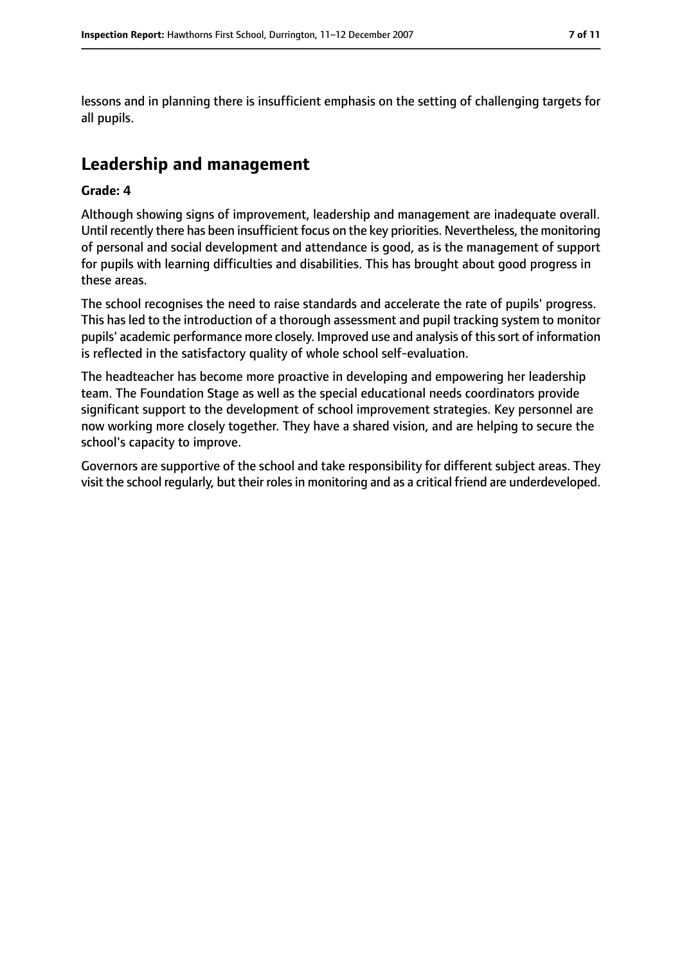lessons and in planning there is insufficient emphasis on the setting of challenging targets for all pupils.

# **Leadership and management**

#### **Grade: 4**

Although showing signs of improvement, leadership and management are inadequate overall. Until recently there has been insufficient focus on the key priorities. Nevertheless, the monitoring of personal and social development and attendance is good, as is the management of support for pupils with learning difficulties and disabilities. This has brought about good progress in these areas.

The school recognises the need to raise standards and accelerate the rate of pupils' progress. This has led to the introduction of a thorough assessment and pupil tracking system to monitor pupils' academic performance more closely. Improved use and analysis of thissort of information is reflected in the satisfactory quality of whole school self-evaluation.

The headteacher has become more proactive in developing and empowering her leadership team. The Foundation Stage as well as the special educational needs coordinators provide significant support to the development of school improvement strategies. Key personnel are now working more closely together. They have a shared vision, and are helping to secure the school's capacity to improve.

Governors are supportive of the school and take responsibility for different subject areas. They visit the school regularly, but their rolesin monitoring and as a critical friend are underdeveloped.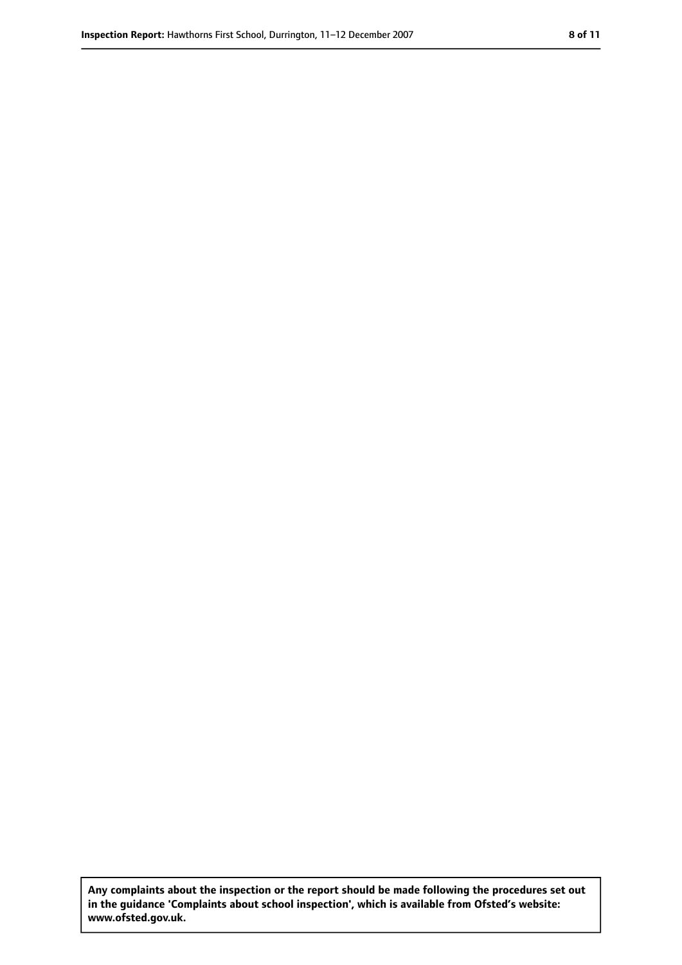**Any complaints about the inspection or the report should be made following the procedures set out in the guidance 'Complaints about school inspection', which is available from Ofsted's website: www.ofsted.gov.uk.**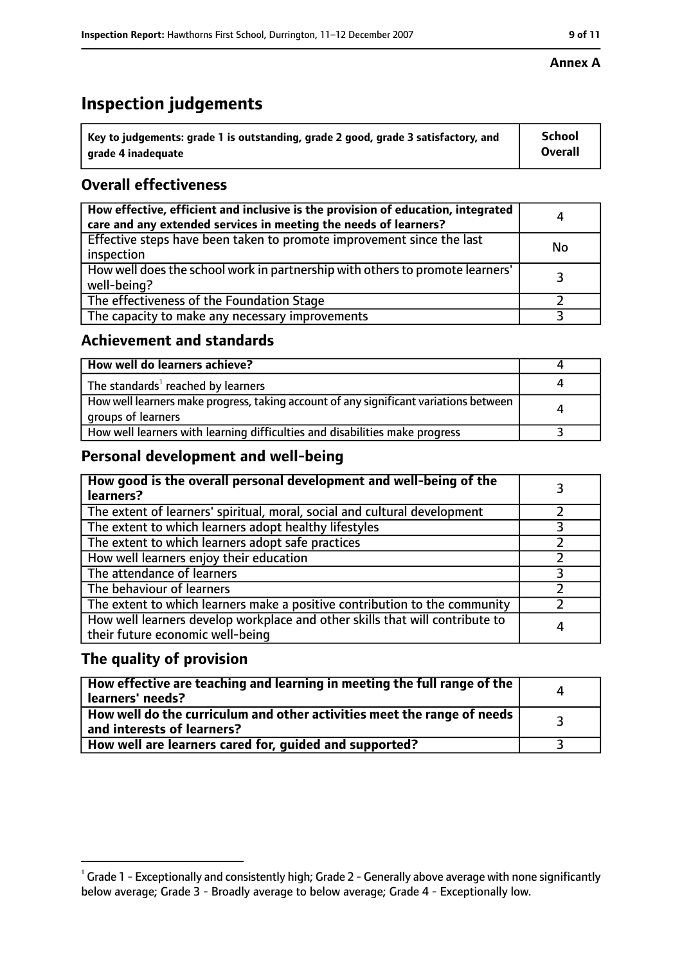# **Inspection judgements**

| $^{\backprime}$ Key to judgements: grade 1 is outstanding, grade 2 good, grade 3 satisfactory, and | <b>School</b>  |
|----------------------------------------------------------------------------------------------------|----------------|
| arade 4 inadequate                                                                                 | <b>Overall</b> |

## **Overall effectiveness**

| How effective, efficient and inclusive is the provision of education, integrated<br>care and any extended services in meeting the needs of learners? | 4         |
|------------------------------------------------------------------------------------------------------------------------------------------------------|-----------|
| Effective steps have been taken to promote improvement since the last<br>inspection                                                                  | <b>No</b> |
| How well does the school work in partnership with others to promote learners'<br>well-being?                                                         |           |
| The effectiveness of the Foundation Stage                                                                                                            |           |
| The capacity to make any necessary improvements                                                                                                      |           |

## **Achievement and standards**

| How well do learners achieve?                                                                               |  |
|-------------------------------------------------------------------------------------------------------------|--|
| The standards <sup>1</sup> reached by learners                                                              |  |
| How well learners make progress, taking account of any significant variations between<br>groups of learners |  |
| How well learners with learning difficulties and disabilities make progress                                 |  |

## **Personal development and well-being**

| How good is the overall personal development and well-being of the<br>learners?                                  |  |
|------------------------------------------------------------------------------------------------------------------|--|
| The extent of learners' spiritual, moral, social and cultural development                                        |  |
| The extent to which learners adopt healthy lifestyles                                                            |  |
| The extent to which learners adopt safe practices                                                                |  |
| How well learners enjoy their education                                                                          |  |
| The attendance of learners                                                                                       |  |
| The behaviour of learners                                                                                        |  |
| The extent to which learners make a positive contribution to the community                                       |  |
| How well learners develop workplace and other skills that will contribute to<br>their future economic well-being |  |

## **The quality of provision**

| How effective are teaching and learning in meeting the full range of the<br>learners' needs?          |  |
|-------------------------------------------------------------------------------------------------------|--|
| How well do the curriculum and other activities meet the range of needs<br>and interests of learners? |  |
| How well are learners cared for, quided and supported?                                                |  |

 $^1$  Grade 1 - Exceptionally and consistently high; Grade 2 - Generally above average with none significantly below average; Grade 3 - Broadly average to below average; Grade 4 - Exceptionally low.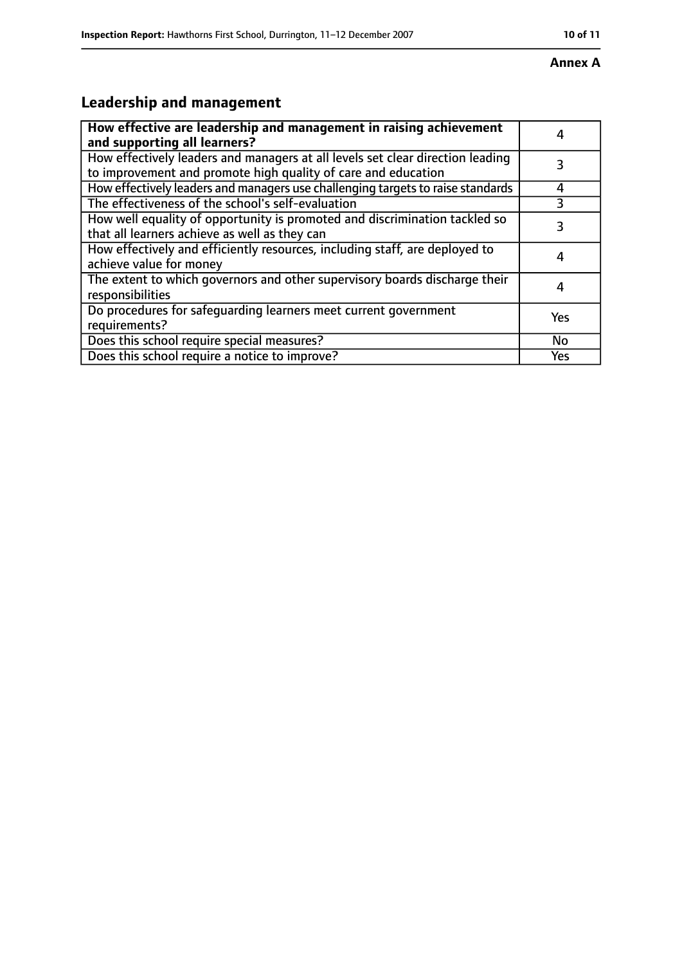#### **Annex A**

# **Leadership and management**

| How effective are leadership and management in raising achievement<br>and supporting all learners?                                              |     |
|-------------------------------------------------------------------------------------------------------------------------------------------------|-----|
| How effectively leaders and managers at all levels set clear direction leading<br>to improvement and promote high quality of care and education |     |
| How effectively leaders and managers use challenging targets to raise standards                                                                 | 4   |
| The effectiveness of the school's self-evaluation                                                                                               |     |
| How well equality of opportunity is promoted and discrimination tackled so<br>that all learners achieve as well as they can                     | 3   |
| How effectively and efficiently resources, including staff, are deployed to<br>achieve value for money                                          |     |
| The extent to which governors and other supervisory boards discharge their<br>responsibilities                                                  |     |
| Do procedures for safequarding learners meet current government<br>requirements?                                                                | Yes |
| Does this school require special measures?                                                                                                      | No  |
| Does this school require a notice to improve?                                                                                                   | Yes |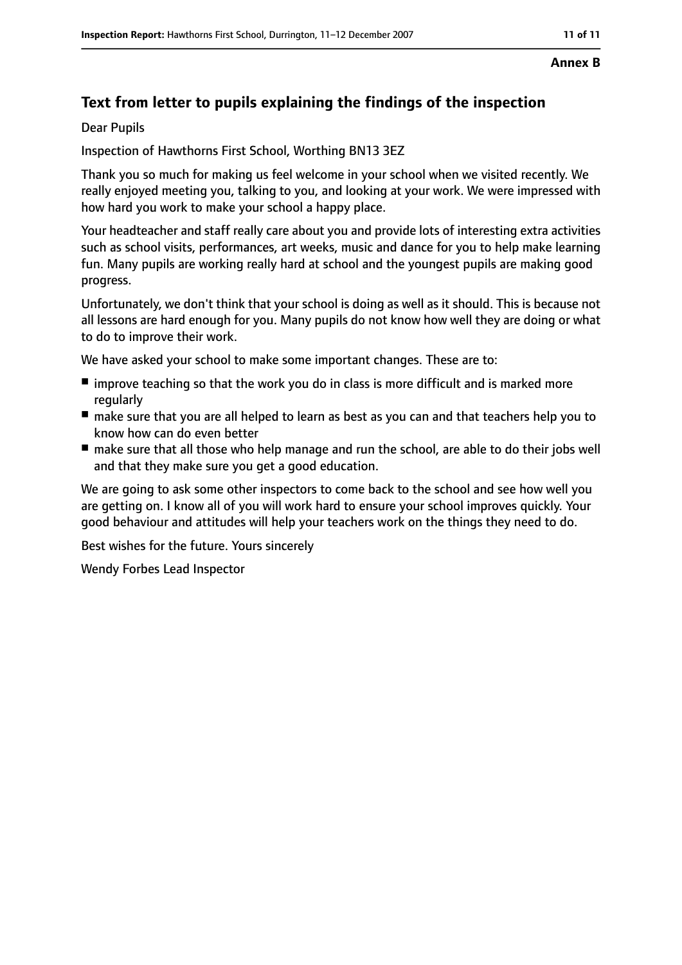#### **Annex B**

# **Text from letter to pupils explaining the findings of the inspection**

Dear Pupils

Inspection of Hawthorns First School, Worthing BN13 3EZ

Thank you so much for making us feel welcome in your school when we visited recently. We really enjoyed meeting you, talking to you, and looking at your work. We were impressed with how hard you work to make your school a happy place.

Your headteacher and staff really care about you and provide lots of interesting extra activities such as school visits, performances, art weeks, music and dance for you to help make learning fun. Many pupils are working really hard at school and the youngest pupils are making good progress.

Unfortunately, we don't think that your school is doing as well as it should. This is because not all lessons are hard enough for you. Many pupils do not know how well they are doing or what to do to improve their work.

We have asked your school to make some important changes. These are to:

- improve teaching so that the work you do in class is more difficult and is marked more regularly
- make sure that you are all helped to learn as best as you can and that teachers help you to know how can do even better
- make sure that all those who help manage and run the school, are able to do their jobs well and that they make sure you get a good education.

We are going to ask some other inspectors to come back to the school and see how well you are getting on. I know all of you will work hard to ensure your school improves quickly. Your good behaviour and attitudes will help your teachers work on the things they need to do.

Best wishes for the future. Yours sincerely

Wendy Forbes Lead Inspector